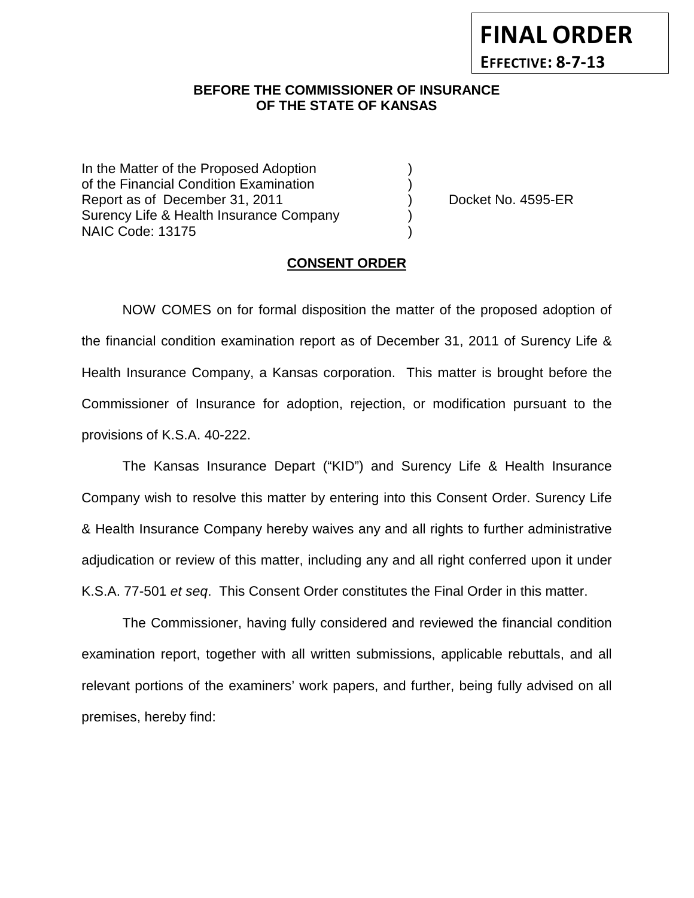## **BEFORE THE COMMISSIONER OF INSURANCE OF THE STATE OF KANSAS**

In the Matter of the Proposed Adoption of the Financial Condition Examination ) Report as of December 31, 2011 (and Separation Contract No. 4595-ER Surency Life & Health Insurance Company ) NAIC Code: 13175 )

**FINAL ORDER**

**EFFECTIVE: 8-7-13**

#### **CONSENT ORDER**

NOW COMES on for formal disposition the matter of the proposed adoption of the financial condition examination report as of December 31, 2011 of Surency Life & Health Insurance Company, a Kansas corporation. This matter is brought before the Commissioner of Insurance for adoption, rejection, or modification pursuant to the provisions of K.S.A. 40-222.

The Kansas Insurance Depart ("KID") and Surency Life & Health Insurance Company wish to resolve this matter by entering into this Consent Order. Surency Life & Health Insurance Company hereby waives any and all rights to further administrative adjudication or review of this matter, including any and all right conferred upon it under K.S.A. 77-501 *et seq*. This Consent Order constitutes the Final Order in this matter.

The Commissioner, having fully considered and reviewed the financial condition examination report, together with all written submissions, applicable rebuttals, and all relevant portions of the examiners' work papers, and further, being fully advised on all premises, hereby find: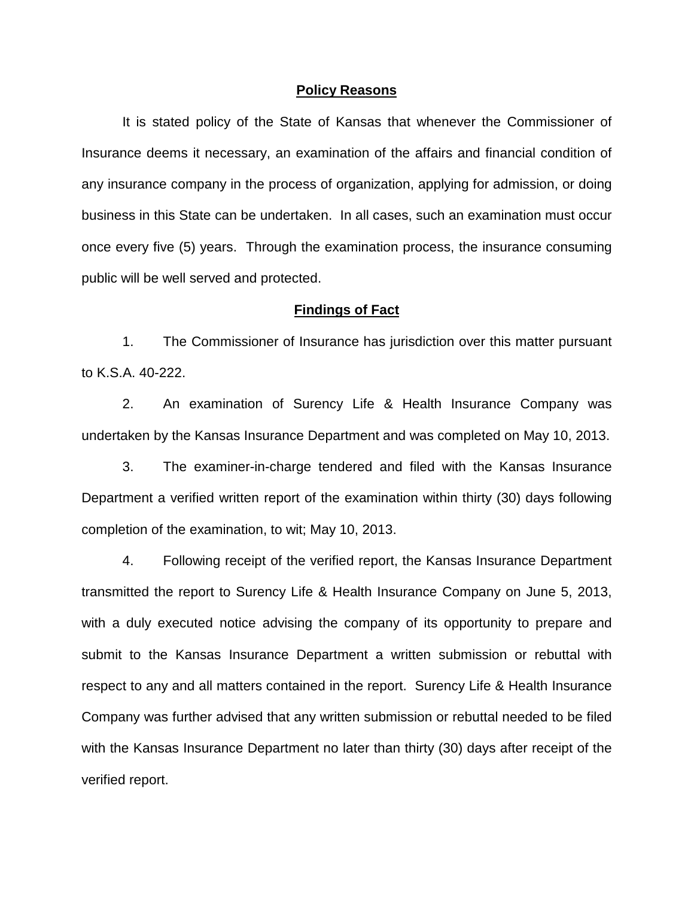### **Policy Reasons**

It is stated policy of the State of Kansas that whenever the Commissioner of Insurance deems it necessary, an examination of the affairs and financial condition of any insurance company in the process of organization, applying for admission, or doing business in this State can be undertaken. In all cases, such an examination must occur once every five (5) years. Through the examination process, the insurance consuming public will be well served and protected.

### **Findings of Fact**

1. The Commissioner of Insurance has jurisdiction over this matter pursuant to K.S.A. 40-222.

2. An examination of Surency Life & Health Insurance Company was undertaken by the Kansas Insurance Department and was completed on May 10, 2013.

3. The examiner-in-charge tendered and filed with the Kansas Insurance Department a verified written report of the examination within thirty (30) days following completion of the examination, to wit; May 10, 2013.

4. Following receipt of the verified report, the Kansas Insurance Department transmitted the report to Surency Life & Health Insurance Company on June 5, 2013, with a duly executed notice advising the company of its opportunity to prepare and submit to the Kansas Insurance Department a written submission or rebuttal with respect to any and all matters contained in the report. Surency Life & Health Insurance Company was further advised that any written submission or rebuttal needed to be filed with the Kansas Insurance Department no later than thirty (30) days after receipt of the verified report.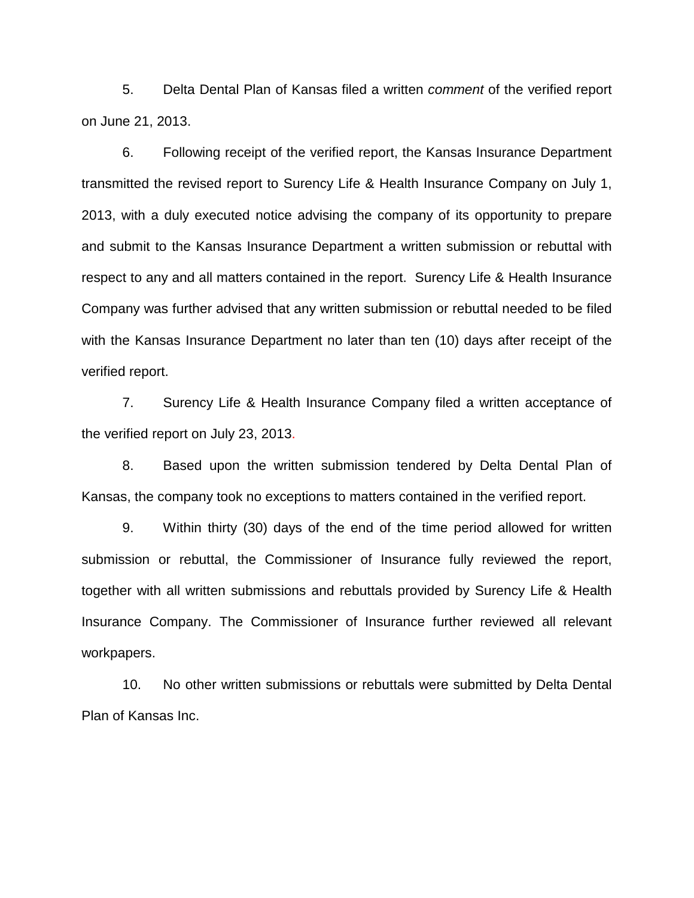5. Delta Dental Plan of Kansas filed a written *comment* of the verified report on June 21, 2013.

6. Following receipt of the verified report, the Kansas Insurance Department transmitted the revised report to Surency Life & Health Insurance Company on July 1, 2013, with a duly executed notice advising the company of its opportunity to prepare and submit to the Kansas Insurance Department a written submission or rebuttal with respect to any and all matters contained in the report. Surency Life & Health Insurance Company was further advised that any written submission or rebuttal needed to be filed with the Kansas Insurance Department no later than ten (10) days after receipt of the verified report.

7. Surency Life & Health Insurance Company filed a written acceptance of the verified report on July 23, 2013.

8. Based upon the written submission tendered by Delta Dental Plan of Kansas, the company took no exceptions to matters contained in the verified report.

9. Within thirty (30) days of the end of the time period allowed for written submission or rebuttal, the Commissioner of Insurance fully reviewed the report, together with all written submissions and rebuttals provided by Surency Life & Health Insurance Company. The Commissioner of Insurance further reviewed all relevant workpapers.

10. No other written submissions or rebuttals were submitted by Delta Dental Plan of Kansas Inc.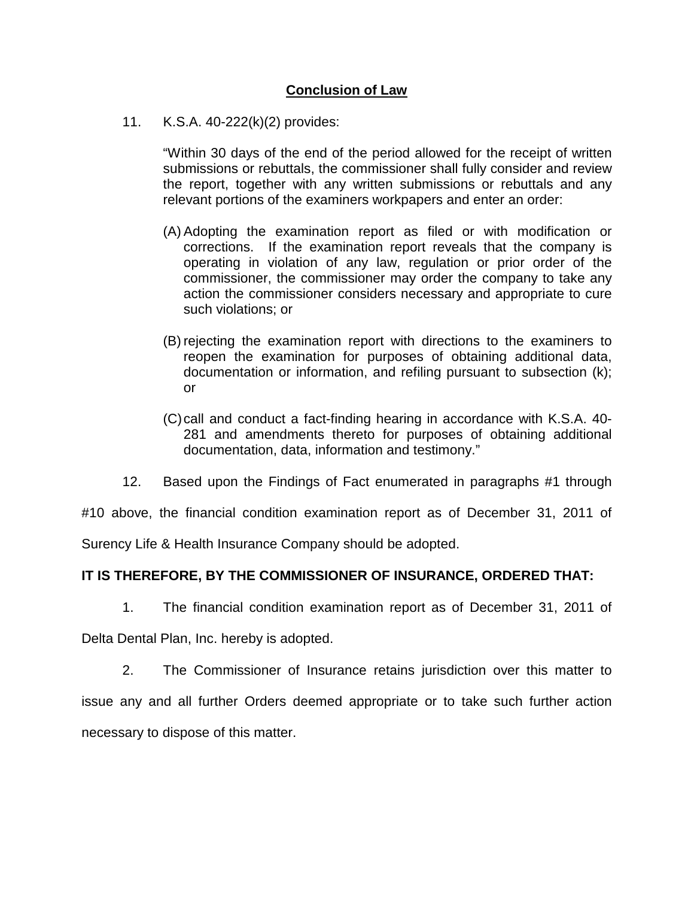# **Conclusion of Law**

11. K.S.A. 40-222(k)(2) provides:

"Within 30 days of the end of the period allowed for the receipt of written submissions or rebuttals, the commissioner shall fully consider and review the report, together with any written submissions or rebuttals and any relevant portions of the examiners workpapers and enter an order:

- (A) Adopting the examination report as filed or with modification or corrections. If the examination report reveals that the company is operating in violation of any law, regulation or prior order of the commissioner, the commissioner may order the company to take any action the commissioner considers necessary and appropriate to cure such violations; or
- (B) rejecting the examination report with directions to the examiners to reopen the examination for purposes of obtaining additional data, documentation or information, and refiling pursuant to subsection (k); or
- (C)call and conduct a fact-finding hearing in accordance with K.S.A. 40- 281 and amendments thereto for purposes of obtaining additional documentation, data, information and testimony."
- 12. Based upon the Findings of Fact enumerated in paragraphs #1 through

#10 above, the financial condition examination report as of December 31, 2011 of

Surency Life & Health Insurance Company should be adopted.

## **IT IS THEREFORE, BY THE COMMISSIONER OF INSURANCE, ORDERED THAT:**

1. The financial condition examination report as of December 31, 2011 of

Delta Dental Plan, Inc. hereby is adopted.

2. The Commissioner of Insurance retains jurisdiction over this matter to issue any and all further Orders deemed appropriate or to take such further action necessary to dispose of this matter.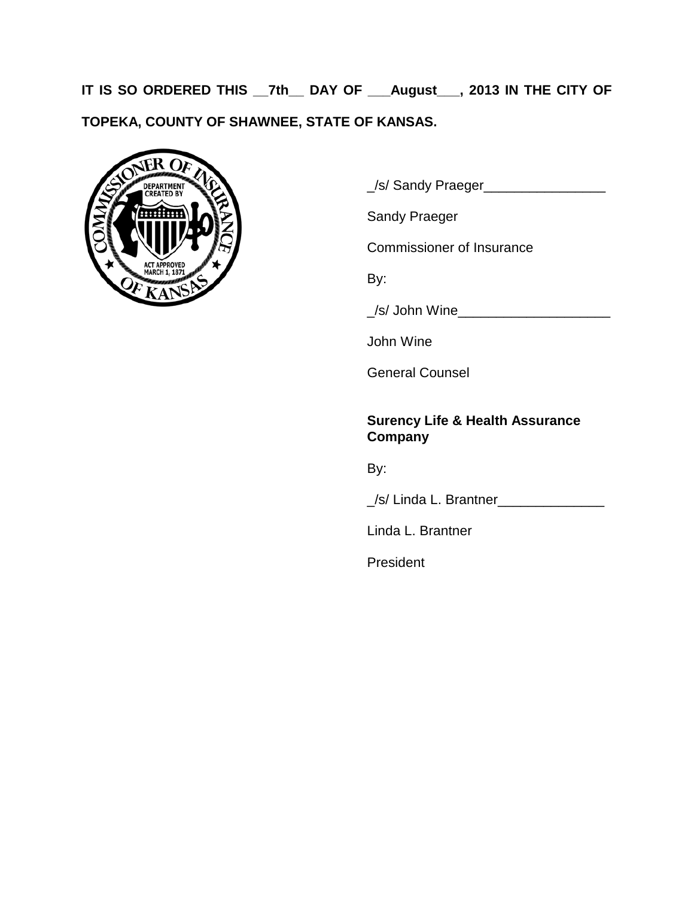**IT IS SO ORDERED THIS \_\_7th\_\_ DAY OF \_\_\_August\_\_\_, 2013 IN THE CITY OF TOPEKA, COUNTY OF SHAWNEE, STATE OF KANSAS.**



\_/s/ Sandy Praeger\_\_\_\_\_\_\_\_\_\_\_\_\_\_\_\_

Sandy Praeger

Commissioner of Insurance

By:

\_/s/ John Wine\_\_\_\_\_\_\_\_\_\_\_\_\_\_\_\_\_\_\_\_

John Wine

General Counsel

## **Surency Life & Health Assurance Company**

By:

\_/s/ Linda L. Brantner\_\_\_\_\_\_\_\_\_\_\_\_\_\_

Linda L. Brantner

President